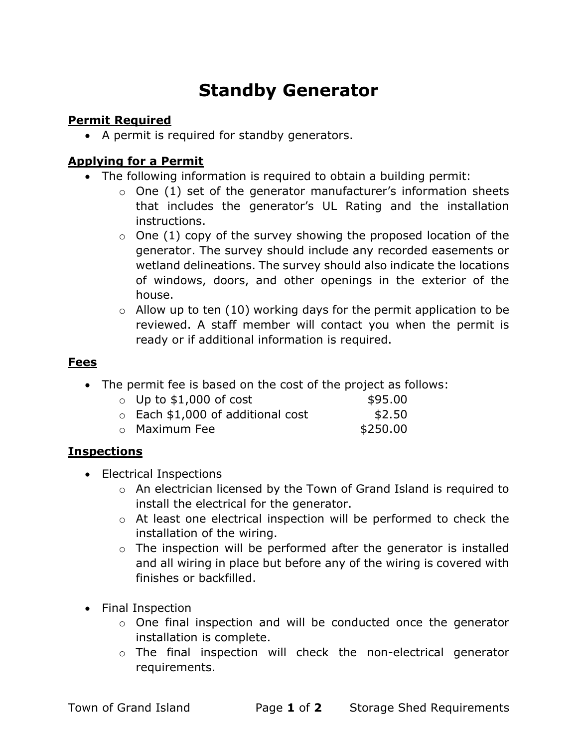# Standby Generator

# Permit Required

• A permit is required for standby generators.

#### Applying for a Permit

- The following information is required to obtain a building permit:
	- $\circ$  One (1) set of the generator manufacturer's information sheets that includes the generator's UL Rating and the installation instructions.
	- $\circ$  One (1) copy of the survey showing the proposed location of the generator. The survey should include any recorded easements or wetland delineations. The survey should also indicate the locations of windows, doors, and other openings in the exterior of the house.
	- $\circ$  Allow up to ten (10) working days for the permit application to be reviewed. A staff member will contact you when the permit is ready or if additional information is required.

## Fees

The permit fee is based on the cost of the project as follows:

| $\circ$ Up to \$1,000 of cost           | \$95.00  |
|-----------------------------------------|----------|
| $\circ$ Each \$1,000 of additional cost | \$2.50   |
| o Maximum Fee                           | \$250.00 |

## **Inspections**

- Electrical Inspections
	- o An electrician licensed by the Town of Grand Island is required to install the electrical for the generator.
	- o At least one electrical inspection will be performed to check the installation of the wiring.
	- $\circ$  The inspection will be performed after the generator is installed and all wiring in place but before any of the wiring is covered with finishes or backfilled.
- Final Inspection
	- o One final inspection and will be conducted once the generator installation is complete.
	- o The final inspection will check the non-electrical generator requirements.